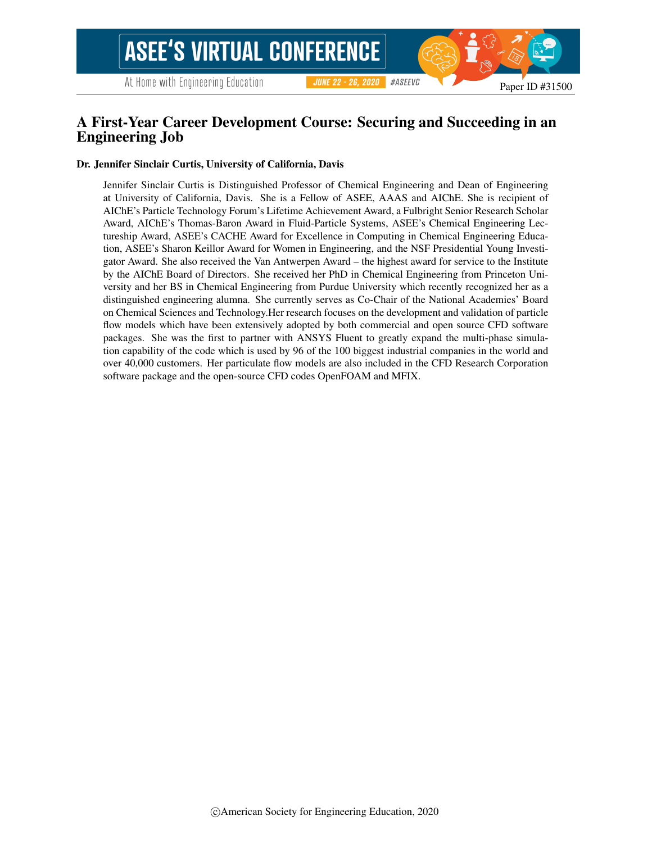#### #ASEEVC **JUNE 22 - 26, 2020**

Paper ID #31500

# A First-Year Career Development Course: Securing and Succeeding in an Engineering Job

#### Dr. Jennifer Sinclair Curtis, University of California, Davis

Jennifer Sinclair Curtis is Distinguished Professor of Chemical Engineering and Dean of Engineering at University of California, Davis. She is a Fellow of ASEE, AAAS and AIChE. She is recipient of AIChE's Particle Technology Forum's Lifetime Achievement Award, a Fulbright Senior Research Scholar Award, AIChE's Thomas-Baron Award in Fluid-Particle Systems, ASEE's Chemical Engineering Lectureship Award, ASEE's CACHE Award for Excellence in Computing in Chemical Engineering Education, ASEE's Sharon Keillor Award for Women in Engineering, and the NSF Presidential Young Investigator Award. She also received the Van Antwerpen Award – the highest award for service to the Institute by the AIChE Board of Directors. She received her PhD in Chemical Engineering from Princeton University and her BS in Chemical Engineering from Purdue University which recently recognized her as a distinguished engineering alumna. She currently serves as Co-Chair of the National Academies' Board on Chemical Sciences and Technology.Her research focuses on the development and validation of particle flow models which have been extensively adopted by both commercial and open source CFD software packages. She was the first to partner with ANSYS Fluent to greatly expand the multi-phase simulation capability of the code which is used by 96 of the 100 biggest industrial companies in the world and over 40,000 customers. Her particulate flow models are also included in the CFD Research Corporation software package and the open-source CFD codes OpenFOAM and MFIX.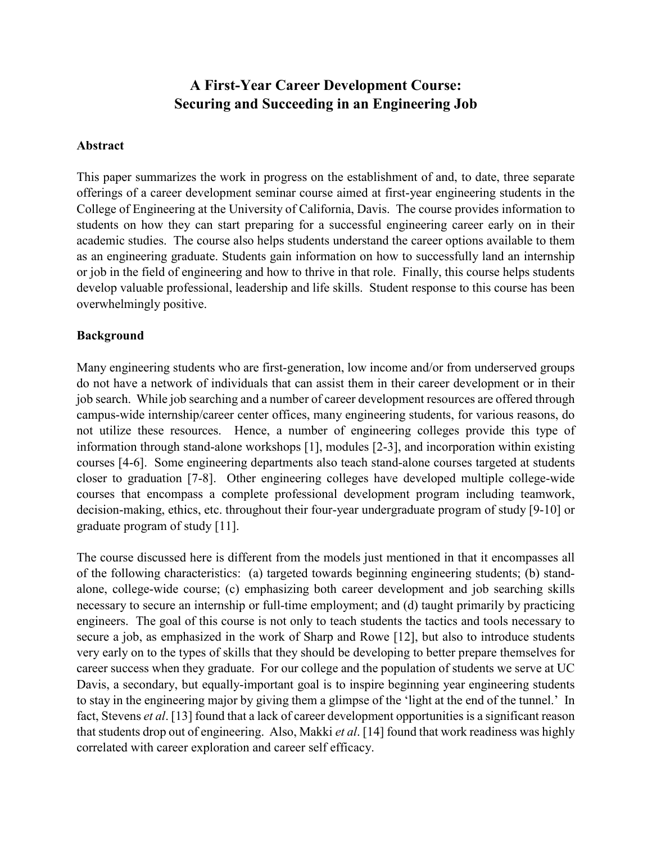# **A First-Year Career Development Course: Securing and Succeeding in an Engineering Job**

#### **Abstract**

This paper summarizes the work in progress on the establishment of and, to date, three separate offerings of a career development seminar course aimed at first-year engineering students in the College of Engineering at the University of California, Davis. The course provides information to students on how they can start preparing for a successful engineering career early on in their academic studies. The course also helps students understand the career options available to them as an engineering graduate. Students gain information on how to successfully land an internship or job in the field of engineering and how to thrive in that role. Finally, this course helps students develop valuable professional, leadership and life skills. Student response to this course has been overwhelmingly positive.

#### **Background**

Many engineering students who are first-generation, low income and/or from underserved groups do not have a network of individuals that can assist them in their career development or in their job search. While job searching and a number of career development resources are offered through campus-wide internship/career center offices, many engineering students, for various reasons, do not utilize these resources. Hence, a number of engineering colleges provide this type of information through stand-alone workshops [1], modules [2-3], and incorporation within existing courses [4-6]. Some engineering departments also teach stand-alone courses targeted at students closer to graduation [7-8]. Other engineering colleges have developed multiple college-wide courses that encompass a complete professional development program including teamwork, decision-making, ethics, etc. throughout their four-year undergraduate program of study [9-10] or graduate program of study [11].

The course discussed here is different from the models just mentioned in that it encompasses all of the following characteristics: (a) targeted towards beginning engineering students; (b) standalone, college-wide course; (c) emphasizing both career development and job searching skills necessary to secure an internship or full-time employment; and (d) taught primarily by practicing engineers. The goal of this course is not only to teach students the tactics and tools necessary to secure a job, as emphasized in the work of Sharp and Rowe [12], but also to introduce students very early on to the types of skills that they should be developing to better prepare themselves for career success when they graduate. For our college and the population of students we serve at UC Davis, a secondary, but equally-important goal is to inspire beginning year engineering students to stay in the engineering major by giving them a glimpse of the 'light at the end of the tunnel.' In fact, Stevens *et al*. [13] found that a lack of career development opportunities is a significant reason that students drop out of engineering. Also, Makki *et al*. [14] found that work readiness was highly correlated with career exploration and career self efficacy.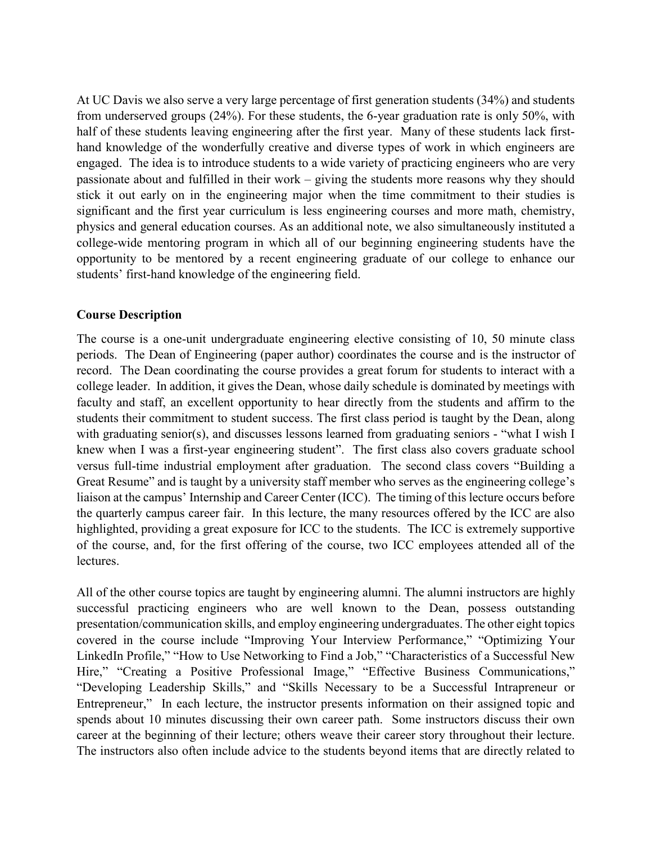At UC Davis we also serve a very large percentage of first generation students (34%) and students from underserved groups (24%). For these students, the 6-year graduation rate is only 50%, with half of these students leaving engineering after the first year. Many of these students lack firsthand knowledge of the wonderfully creative and diverse types of work in which engineers are engaged. The idea is to introduce students to a wide variety of practicing engineers who are very passionate about and fulfilled in their work – giving the students more reasons why they should stick it out early on in the engineering major when the time commitment to their studies is significant and the first year curriculum is less engineering courses and more math, chemistry, physics and general education courses. As an additional note, we also simultaneously instituted a college-wide mentoring program in which all of our beginning engineering students have the opportunity to be mentored by a recent engineering graduate of our college to enhance our students' first-hand knowledge of the engineering field.

### **Course Description**

The course is a one-unit undergraduate engineering elective consisting of 10, 50 minute class periods. The Dean of Engineering (paper author) coordinates the course and is the instructor of record. The Dean coordinating the course provides a great forum for students to interact with a college leader. In addition, it gives the Dean, whose daily schedule is dominated by meetings with faculty and staff, an excellent opportunity to hear directly from the students and affirm to the students their commitment to student success. The first class period is taught by the Dean, along with graduating senior(s), and discusses lessons learned from graduating seniors - "what I wish I knew when I was a first-year engineering student". The first class also covers graduate school versus full-time industrial employment after graduation. The second class covers "Building a Great Resume" and is taught by a university staff member who serves as the engineering college's liaison at the campus' Internship and Career Center (ICC). The timing of this lecture occurs before the quarterly campus career fair. In this lecture, the many resources offered by the ICC are also highlighted, providing a great exposure for ICC to the students. The ICC is extremely supportive of the course, and, for the first offering of the course, two ICC employees attended all of the lectures.

All of the other course topics are taught by engineering alumni. The alumni instructors are highly successful practicing engineers who are well known to the Dean, possess outstanding presentation/communication skills, and employ engineering undergraduates. The other eight topics covered in the course include "Improving Your Interview Performance," "Optimizing Your LinkedIn Profile," "How to Use Networking to Find a Job," "Characteristics of a Successful New Hire," "Creating a Positive Professional Image," "Effective Business Communications," "Developing Leadership Skills," and "Skills Necessary to be a Successful Intrapreneur or Entrepreneur," In each lecture, the instructor presents information on their assigned topic and spends about 10 minutes discussing their own career path. Some instructors discuss their own career at the beginning of their lecture; others weave their career story throughout their lecture. The instructors also often include advice to the students beyond items that are directly related to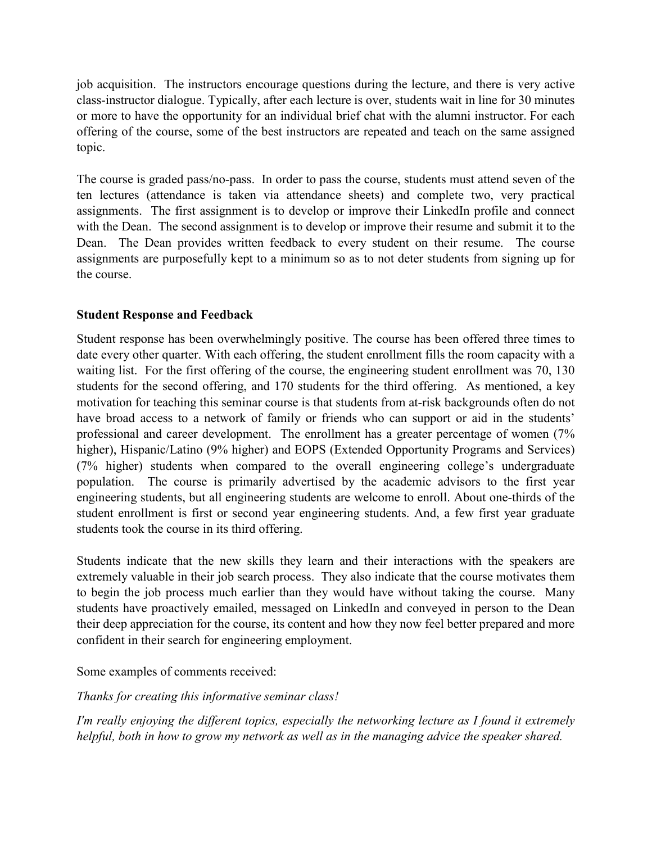job acquisition. The instructors encourage questions during the lecture, and there is very active class-instructor dialogue. Typically, after each lecture is over, students wait in line for 30 minutes or more to have the opportunity for an individual brief chat with the alumni instructor. For each offering of the course, some of the best instructors are repeated and teach on the same assigned topic.

The course is graded pass/no-pass. In order to pass the course, students must attend seven of the ten lectures (attendance is taken via attendance sheets) and complete two, very practical assignments. The first assignment is to develop or improve their LinkedIn profile and connect with the Dean. The second assignment is to develop or improve their resume and submit it to the Dean. The Dean provides written feedback to every student on their resume. The course assignments are purposefully kept to a minimum so as to not deter students from signing up for the course.

# **Student Response and Feedback**

Student response has been overwhelmingly positive. The course has been offered three times to date every other quarter. With each offering, the student enrollment fills the room capacity with a waiting list. For the first offering of the course, the engineering student enrollment was 70, 130 students for the second offering, and 170 students for the third offering. As mentioned, a key motivation for teaching this seminar course is that students from at-risk backgrounds often do not have broad access to a network of family or friends who can support or aid in the students' professional and career development. The enrollment has a greater percentage of women (7% higher), Hispanic/Latino (9% higher) and EOPS (Extended Opportunity Programs and Services) (7% higher) students when compared to the overall engineering college's undergraduate population. The course is primarily advertised by the academic advisors to the first year engineering students, but all engineering students are welcome to enroll. About one-thirds of the student enrollment is first or second year engineering students. And, a few first year graduate students took the course in its third offering.

Students indicate that the new skills they learn and their interactions with the speakers are extremely valuable in their job search process. They also indicate that the course motivates them to begin the job process much earlier than they would have without taking the course. Many students have proactively emailed, messaged on LinkedIn and conveyed in person to the Dean their deep appreciation for the course, its content and how they now feel better prepared and more confident in their search for engineering employment.

Some examples of comments received:

*Thanks for creating this informative seminar class!*

*I'm really enjoying the different topics, especially the networking lecture as I found it extremely helpful, both in how to grow my network as well as in the managing advice the speaker shared.*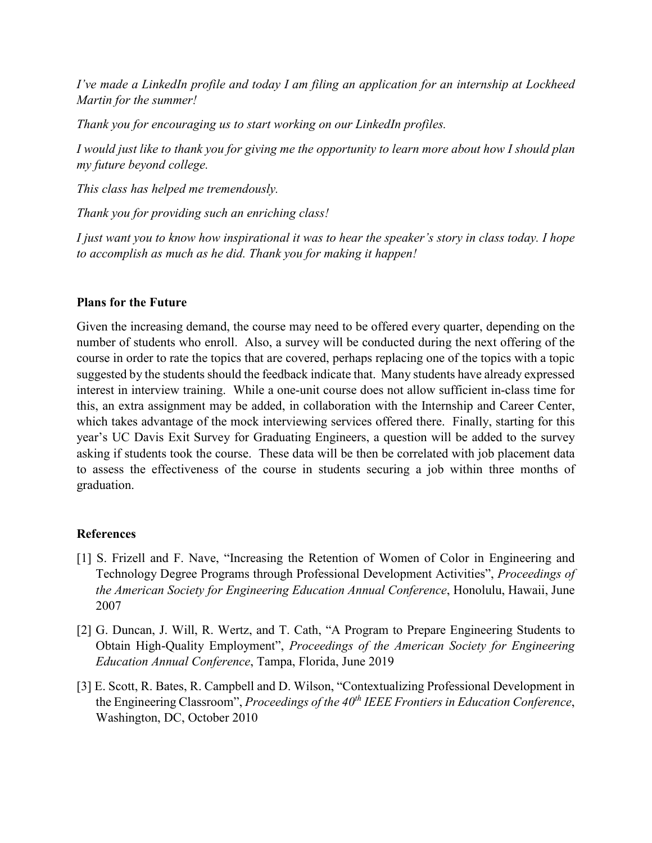*I've made a LinkedIn profile and today I am filing an application for an internship at Lockheed Martin for the summer!*

*Thank you for encouraging us to start working on our LinkedIn profiles.*

*I would just like to thank you for giving me the opportunity to learn more about how I should plan my future beyond college.*

*This class has helped me tremendously.*

*Thank you for providing such an enriching class!*

*I just want you to know how inspirational it was to hear the speaker's story in class today. I hope to accomplish as much as he did. Thank you for making it happen!*

# **Plans for the Future**

Given the increasing demand, the course may need to be offered every quarter, depending on the number of students who enroll. Also, a survey will be conducted during the next offering of the course in order to rate the topics that are covered, perhaps replacing one of the topics with a topic suggested by the students should the feedback indicate that. Many students have already expressed interest in interview training. While a one-unit course does not allow sufficient in-class time for this, an extra assignment may be added, in collaboration with the Internship and Career Center, which takes advantage of the mock interviewing services offered there. Finally, starting for this year's UC Davis Exit Survey for Graduating Engineers, a question will be added to the survey asking if students took the course. These data will be then be correlated with job placement data to assess the effectiveness of the course in students securing a job within three months of graduation.

# **References**

- [1] S. Frizell and F. Nave, "Increasing the Retention of Women of Color in Engineering and Technology Degree Programs through Professional Development Activities", *Proceedings of the American Society for Engineering Education Annual Conference*, Honolulu, Hawaii, June 2007
- [2] G. Duncan, J. Will, R. Wertz, and T. Cath, "A Program to Prepare Engineering Students to Obtain High-Quality Employment", *Proceedings of the American Society for Engineering Education Annual Conference*, Tampa, Florida, June 2019
- [3] E. Scott, R. Bates, R. Campbell and D. Wilson, "Contextualizing Professional Development in the Engineering Classroom", *Proceedings of the 40th IEEE Frontiers in Education Conference*, Washington, DC, October 2010